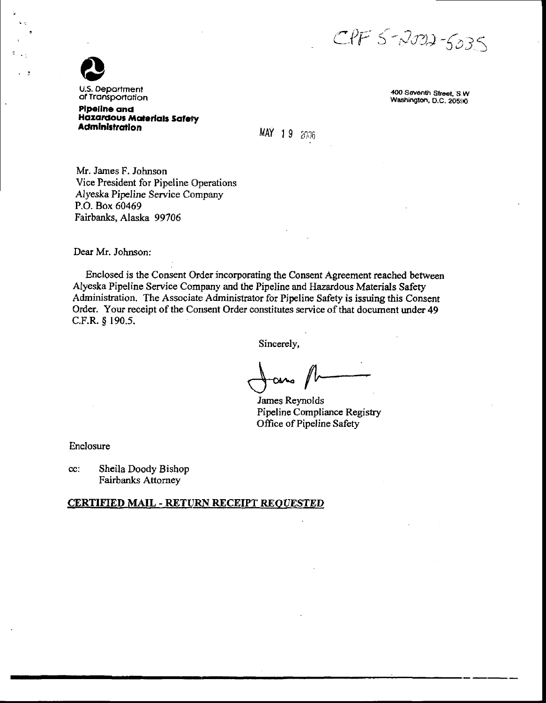$CPF5$ -2002-5035



 $\overline{\phantom{a}}$ 

U.S. Department of Transportation

**Pipeline and Hazardous Materials Safety Administration** 

400 Seventh Street, S.W. Washington, D.C. 20590

MAY 19 2006

Mr. James F. Johnson Vice President for Pipeline Operations Alyeska Pipeline Service Company P.O. Box 60469 Fairbanks, Alaska 99706

Dear Mr. Johnson:

Enclosed is the Consent Order incorporating the Consent Agreement reached between Alyeska Pipeline Service Company and the Pipeline and Hazardous Materials Safety Administration. The Associate Administrator for Pipeline Safety is issuing this Consent Order. Your receipt of the Consent Order constitutes service of that document under 49 C.F.R. § 190.5.

Sincerely,

James Reynolds Pipeline Compliance Registry Office of Pipeline Safety

Enclosure

Sheila Doody Bishop cc: **Fairbanks Attorney** 

### **CERTIFIED MAIL - RETURN RECEIPT REQUESTED**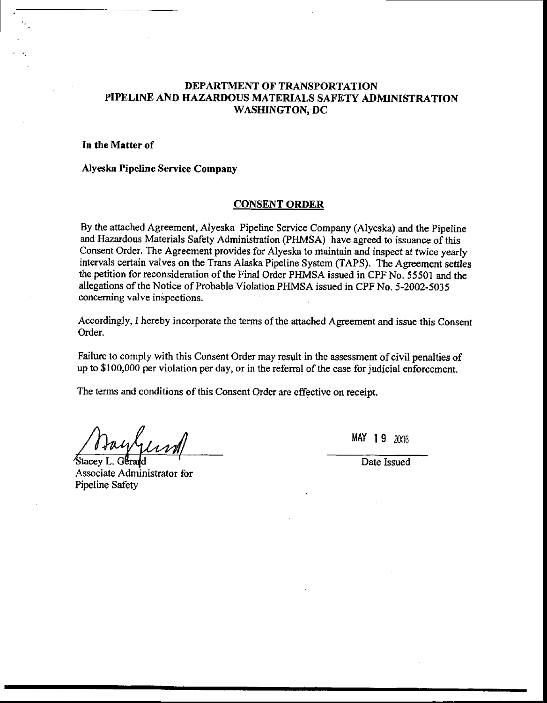# DEPARTMENT OF TRANSPORTATION PIPELINE AND HAZARDOUS MATERIALS SAFETY ADMINISTRATION WASHINGTON, DC

## In the Matter of

## Alyeska Pipeline Service Company

### CONSENT ORDER

By the atiached Agreement, Alyeska Pipeline service Company (Alyeska) and the Pipeline and Hazardous Materials Safety Administration (PHMSA) have agreed to issuance of this Consent Order. The Agreement provides for Alyeska to maintain and inspect at twice yearly intervals certain valves on the Trans Alaska Pipeline Systern (TAPS). The Agreement settles the petition for reconsideration of the Final Order PHMSA issued in CPF No. 55501 and the allegations of the Notice of Probable Violation PHMSA issued in CPF No. 5-2002-5035 concerning valve inspections.

Accordingly, I hereby incorporate the terms of the attached Agreement and issue this Consent Order.

Failure to comply with this Consent Order may result in the assessment of civil penalties of up to \$100,000 per violation per day, or in the referral of the case for judicial enforcement.

The terms and conditions of this Consent Order are effective on receipt.

Assooiate Administrator for Pipeline Safety 'Stacey L

 $MAY$  19  $2006$ 

Date Issued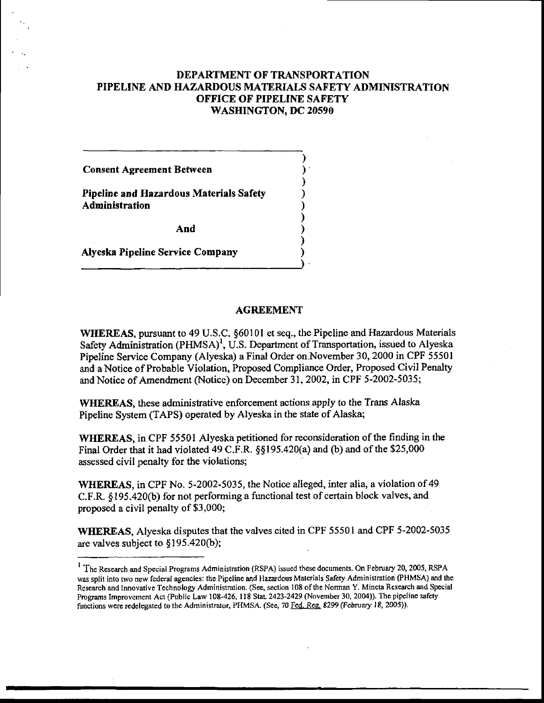# DEPARTMENT OF TRANSPORTATION PIPELINE AND HAZARDOUS MATERIALS SAFETY ADMINISTRATION OFFICE OF PIPELINE SAFETY WASHINGTON, DC 20590

) ) ) ) ) ) ) ) ) )

Consent Agreement Between

Pipeline and Hazardous Materials Safety Administration

And

Alyeska Pipeline Service Conpany

### AGREEMENT

WHEREAS, pursuant to 49 U.S.C. \$60101 et seq., the Pipeline and Hazardous Materials Safety Administration (PHMSA)<sup>1</sup>, U.S. Department of Transportation, issued to Alyeska Pipeline Service Company (Alyeska) a Final Order on.November 30, 2000 in CPF 55501 and a Notice of Probable Violation, Proposed Compliance Order, Proposed Civil Penalty and Notice of Amendment (Notice) on December 31, 2002, in CPF 5-2002-5035;

WHEREAS, these administrative enforcement actions apply to the Trans Alaska Pipeline System (TAPS) operated by Alyeska in the state of Alaska;

WHEREAS, in CPF 55501 Alyeska petitioned for reconsideration of the finding in the Final Order that it had violated 49 C.F.R.  $\S$ §195.420(a) and (b) and of the \$25,000 assessed civil penalty for the violations;

WHEREAS, in CPF No. 5-2002-5035, the Notice alleged, inter alia, a violation of 49 C.F.R. \$195.420(b) for not performing a functional test of certain block valves, and proposed a civil penalty of \$3,000;

WHEREAS, Alyeska disputes that the valves cited in CPF 55501 and CPF 5-2002-5035 are valves subject to  $§195.420(b);$ 

<sup>&</sup>lt;sup>1</sup> The Research and Special Programs Administration (RSPA) issued these documents. On February 20, 2005, RSPA was split into two new federal agencies: the Pipeline and Hazardous Materials Safety Administration (PHMSA) and the Research and Innovative Technology Administration. (See, section 108 of the Norman Y. Mineta Research and Special Programs Improvement Act (Public Law 108-426, 118 Stat. 2423-2429 (November 30, 2004)). The pipeline safety functions were redelegated to the Administrator, PHMSA. (See, 70 Fed. Reg. 8299 (February 18, 2005)).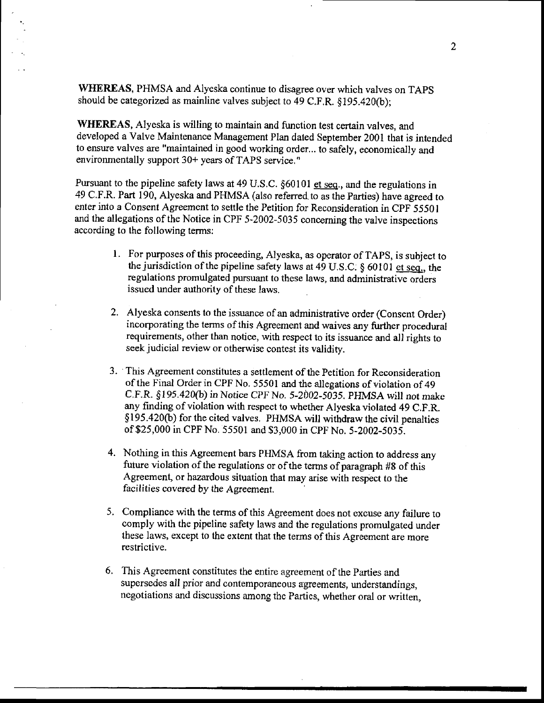WHEREAS, PHMSA and Alyeska continue to disagree over which valves on TAPS should be categorized as mainline valves subject to 49 C.F.R.  $§195.420(b);$ 

WHEREAS, Alyeska is willing to maintain and function test certain valves, and developed a Valve Maintenance Management Plan dated September 2001 that is intended to ensure valves are "maintained in good working order.,. to safely, economically and environmentally support 30+ years of TAPS service,"

Pursuant to the pipeline safety laws at 49 U.S.C. §60101 et seq., and the regulations in 49 c.F.R. Part 190, Alyeska and PHMSA (also referred.to as the parties) have agreed to enter into a Consent Agreement to settle the Petition for Reconsideration in CPF 55501 and the allegations of the Notice in CPF 5-2002-5035 conceming the valve inspections according to the following terms:

- l. For purposes of lhis proceeding, Alyeska, as operator of TApS, is subject to the jurisdiction of the pipeline safety laws at 49 U.S.C:  $\S$  60101 et seq., the regulations promulgated pursuant to these laws, and administrative orders issued under authority of these laws.
- 2. Alyeska consents to the issuance of an administrative order (Consent Order) incorporating the terms of this Agreement and waives any further procedwal requirements, other than notice, with respect to its issuance and all rights to seek judicial review or otherwise contest its validity.
- 3. This Agreement constitutes a settlement of the Petition for Reconsideration of the Final Order in CPF No. 55501 and the allegations of violation of 49 C.F.R. \$195.420(b) in Notice CPF No. 5-2002-5035. PHMSA will not make any finding of violation wilh respect to whether Alyeska violated 49 C.F.R. \$ I 95.420(b) for the cited valves. PHMSA will withdraw the civil penalties of\$25,000 in CPF No. 55501 and \$3,000 in CPF No. 5-2002-5035.
- 4. Nothing in this Agreement bars PHMSA from taking action to address any future violation of the regulations or of the terms of paragraph #8 of this Agreement, or hazardous situation that may arise with respect to the facilities covered by the Agreement.
- 5. Compliance with the terms of this Agreement does not excuse any failure to comply with the pipeline safety laws and the regulations promulgated under these laws, except to the extent that the terms of this Agreement are more restrictive.
- 6, This Agreement constitutes the entire agreement of the Parties and supersedes all prior and contemporaneous agreements, understandings, negotiations and discussions among the Parties, whether oral or written,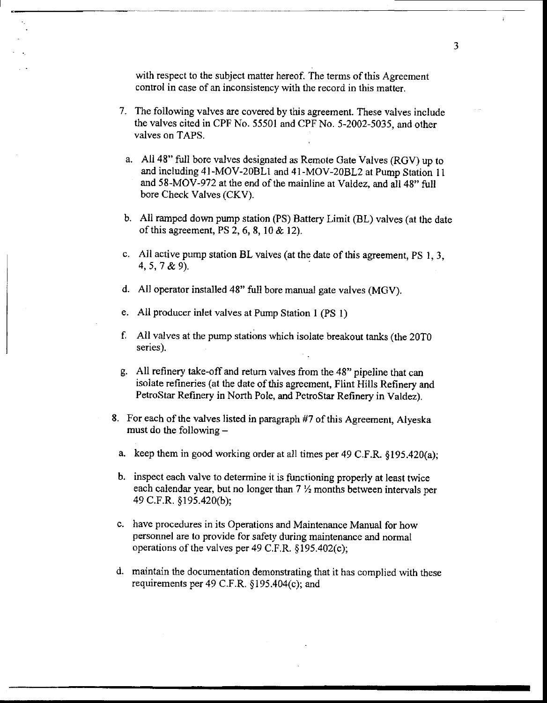with respect to the subject matter hereof. The terms of this Agreement control in case of an inconsistency with the record in this matter.

- 7. The following valves are covered by this agreement. These valves include the valves cited in CPF No. 55501 and CPF No. 5-2002-5035, and other valves on TAPS.
	- a. All 48" full bore valves designated as Remote Gate Valves (RGV) up to and including 4l -MOV-2OBLI and 41-MOV-208L2 at Pump Station 11 and 58-MOV-972 at the end of the mainline at Valdez, and all 48" full bore Check Valves (CKV).
- b. All ramped down pump station (PS) Battery Limit (BL) valves (at the date of this agreement, PS 2,6,8, l0 & l2).
- c. All active pump station BL valves (at the date of this agreement, PS 1, 3, 4,5,7 &9).
- d. All operator installed 48'full bore manual gate valves (MGV).
- e. All producer inlet valves at Pump Station 1 (PS l)
- f. All valves at the pump stations which isolate breakout tanks (the 20T0 series).
- g. All refinery take-off and return valves from the 48" pipeline that can isolate refineries (at the date of this agreement, Flint Hills Refinery and PetroStar Refinery in North Pole, and PetroStar Refinery in Valdez).
- 8. For each of the valves listed in paragraph #7 of this Agreement, Alyeska must do the following  $$ 
	- a. keep them in good working order at all times per 49 C.F.R.  $\delta$ 195.420(a):
	- b. inspect each valve to determine it is functioning properly at least twice each calendar year, but no longer than  $7 \frac{1}{2}$  months between intervals per 49 C.F.R. §195.420(b);
	- c. have procedures in its Operations and Maintenance Manual for how personnel are to provide for safety during maintenance and normal operations of the valves per 49 C.F.R.  $§195.402(c)$ ;
- d. maintain the documentation demonstrating that it has cornplied with these requirements per 49 C.F.R.  $§195.404(c)$ ; and

 $\overline{3}$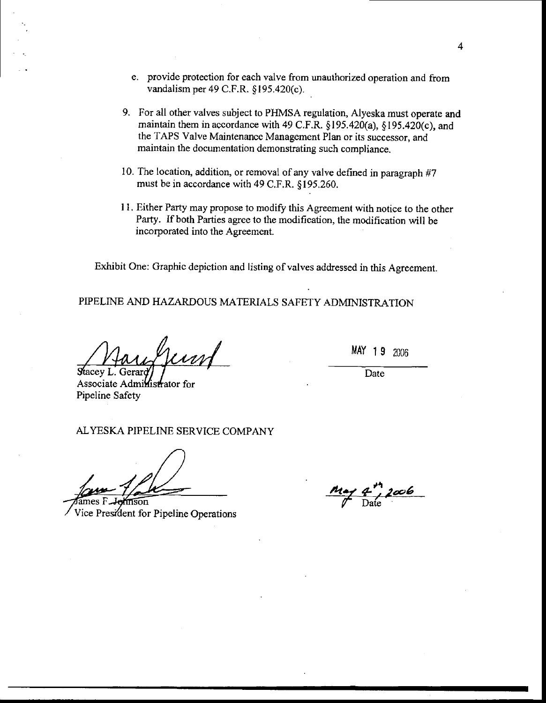- e. provide protection for each valve from unauthorized opera{ion and from vandalism per 49 C.F.R. §195.420(c).
- 9. For all other valves subject to PHMSA regulation, Alyeska must operate and maintain them in accordance with 49 C.F.R.  $\S$ 195.420(a),  $\S$ 195.420(c), and the TAPS Valve Maintenance Management Plan or its successor, and maintain the documentation demonstrating such compliance.
- 10. The location, addition, or removal of any valve defined in paragraph  $#7$ must be in accordance with 49 C.F,R. \$195.260.
- 11. Either Party may propose to modify this Agreement with notice to the other Party. If both Parties agree to the modification, the modification will be incorporated into the Agreement.

Exhibit One: Graphic depiction and listing of valves addressed in this Agreement.

PIPELINE AND HAZARDOUS MATERiALS SAFETY ADMINISTRATION

erord Stacey L. Gerard

MAY 19 2006

Date

Associate Administrator for Pipeline Safety

ALYESKA PIPELINE SERVICE COMPANY

 $\frac{1}{2}$ ames F. mson Vice President for Pipeline Operations

 $\frac{n_{\alpha\gamma}}{\gamma}$  and  $\frac{n_{\alpha\gamma}}{\gamma}$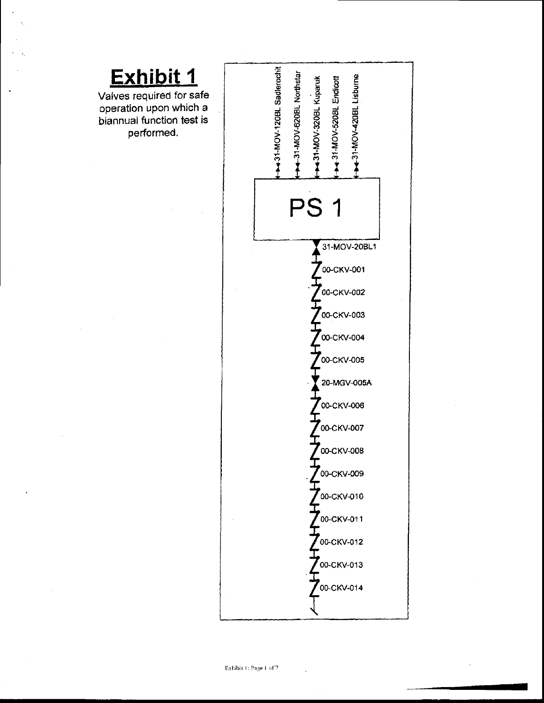

performed.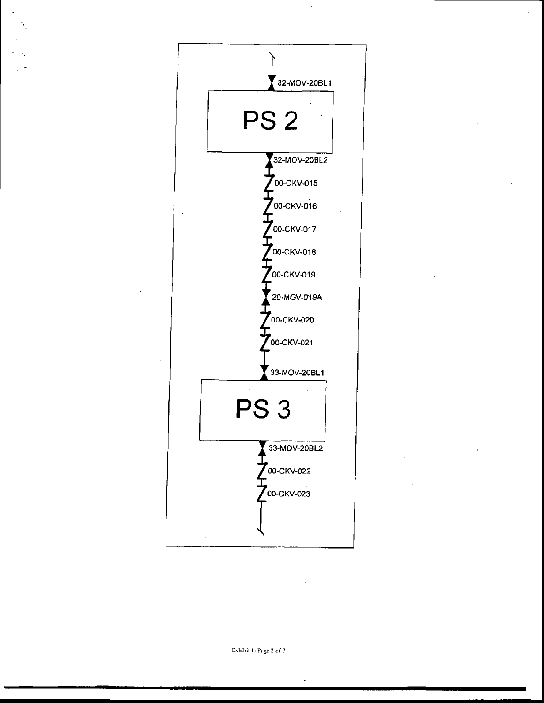

Exhibit 1: Page 2 of 7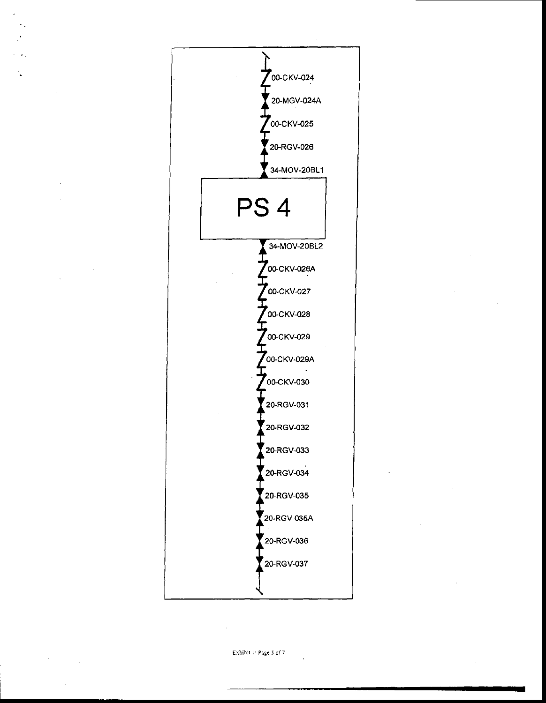

Exhibit 1: Page 3 of 7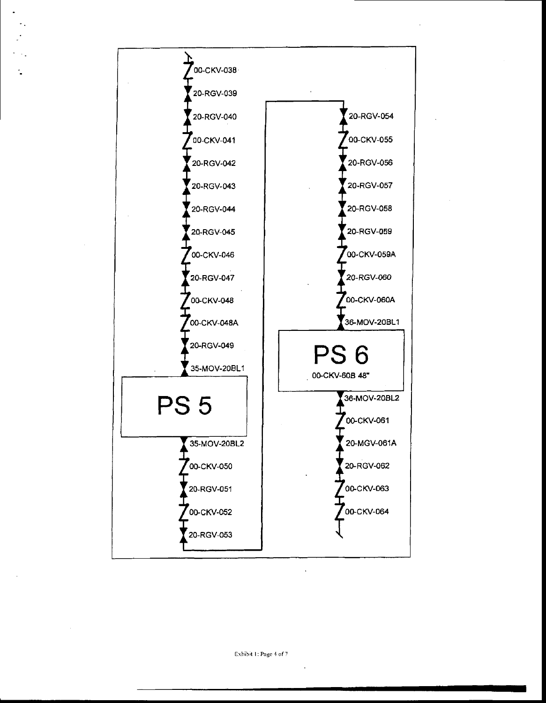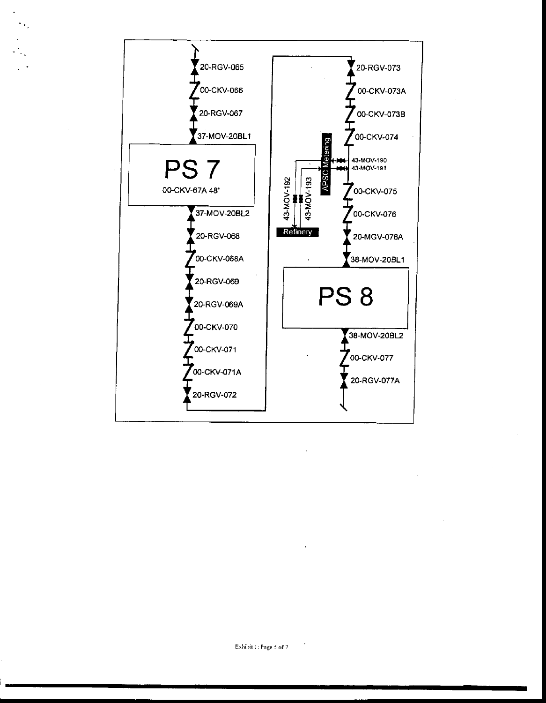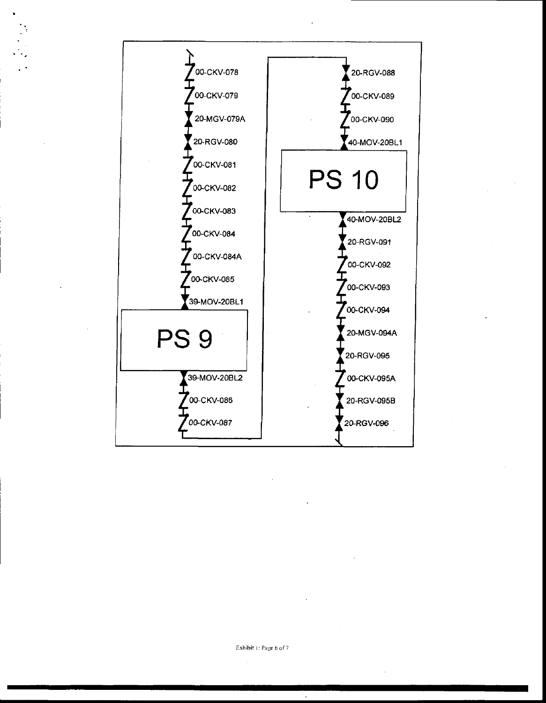